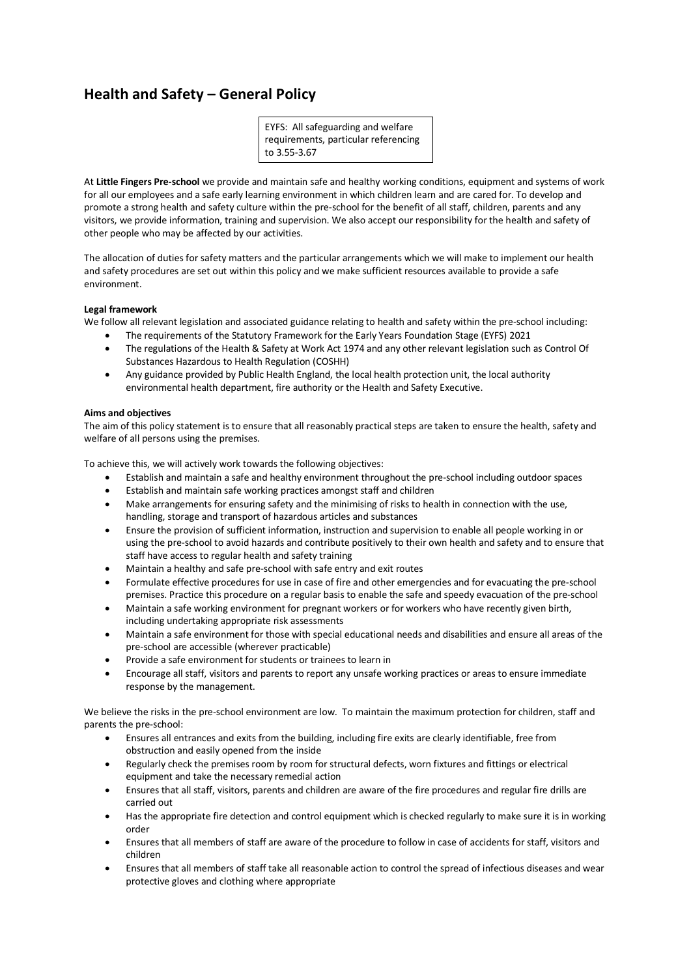# **Health and Safety – General Policy**

EYFS: All safeguarding and welfare requirements, particular referencing to 3.55-3.67

At **Little Fingers Pre-school** we provide and maintain safe and healthy working conditions, equipment and systems of work for all our employees and a safe early learning environment in which children learn and are cared for. To develop and promote a strong health and safety culture within the pre-school for the benefit of all staff, children, parents and any visitors, we provide information, training and supervision. We also accept our responsibility for the health and safety of other people who may be affected by our activities.

The allocation of duties for safety matters and the particular arrangements which we will make to implement our health and safety procedures are set out within this policy and we make sufficient resources available to provide a safe environment.

## **Legal framework**

We follow all relevant legislation and associated guidance relating to health and safety within the pre-school including:

- The requirements of the Statutory Framework for the Early Years Foundation Stage (EYFS) 2021
- The regulations of the Health & Safety at Work Act 1974 and any other relevant legislation such as Control Of Substances Hazardous to Health Regulation (COSHH)
- Any guidance provided by Public Health England, the local health protection unit, the local authority environmental health department, fire authority or the Health and Safety Executive.

## **Aims and objectives**

The aim of this policy statement is to ensure that all reasonably practical steps are taken to ensure the health, safety and welfare of all persons using the premises.

To achieve this, we will actively work towards the following objectives:

- Establish and maintain a safe and healthy environment throughout the pre-school including outdoor spaces
- Establish and maintain safe working practices amongst staff and children
- Make arrangements for ensuring safety and the minimising of risks to health in connection with the use, handling, storage and transport of hazardous articles and substances
- Ensure the provision of sufficient information, instruction and supervision to enable all people working in or using the pre-school to avoid hazards and contribute positively to their own health and safety and to ensure that staff have access to regular health and safety training
- Maintain a healthy and safe pre-school with safe entry and exit routes
- Formulate effective procedures for use in case of fire and other emergencies and for evacuating the pre-school premises. Practice this procedure on a regular basis to enable the safe and speedy evacuation of the pre-school
- Maintain a safe working environment for pregnant workers or for workers who have recently given birth, including undertaking appropriate risk assessments
- Maintain a safe environment for those with special educational needs and disabilities and ensure all areas of the pre-school are accessible (wherever practicable)
- Provide a safe environment for students or trainees to learn in
- Encourage all staff, visitors and parents to report any unsafe working practices or areas to ensure immediate response by the management.

We believe the risks in the pre-school environment are low. To maintain the maximum protection for children, staff and parents the pre-school:

- Ensures all entrances and exits from the building, including fire exits are clearly identifiable, free from obstruction and easily opened from the inside
- Regularly check the premises room by room for structural defects, worn fixtures and fittings or electrical equipment and take the necessary remedial action
- Ensures that all staff, visitors, parents and children are aware of the fire procedures and regular fire drills are carried out
- Has the appropriate fire detection and control equipment which is checked regularly to make sure it is in working order
- Ensures that all members of staff are aware of the procedure to follow in case of accidents for staff, visitors and children
- Ensures that all members of staff take all reasonable action to control the spread of infectious diseases and wear protective gloves and clothing where appropriate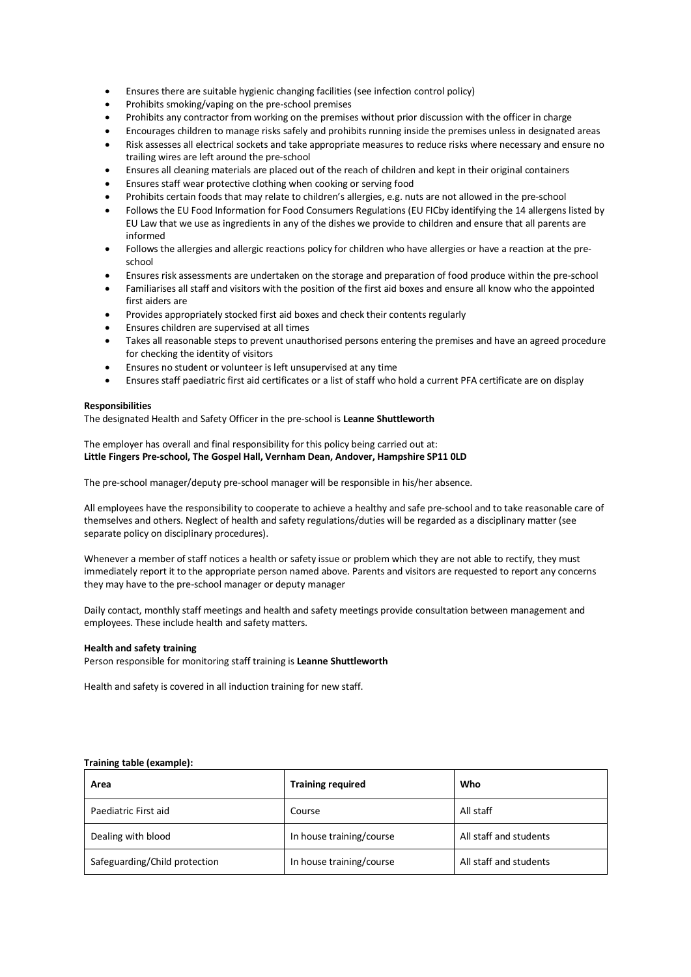- Ensures there are suitable hygienic changing facilities (see infection control policy)
- Prohibits smoking/vaping on the pre-school premises
- Prohibits any contractor from working on the premises without prior discussion with the officer in charge
- Encourages children to manage risks safely and prohibits running inside the premises unless in designated areas
- Risk assesses all electrical sockets and take appropriate measures to reduce risks where necessary and ensure no trailing wires are left around the pre-school
- Ensures all cleaning materials are placed out of the reach of children and kept in their original containers
- Ensures staff wear protective clothing when cooking or serving food
- Prohibits certain foods that may relate to children's allergies, e.g. nuts are not allowed in the pre-school
- Follows the EU Food Information for Food Consumers Regulations (EU FICby identifying the 14 allergens listed by EU Law that we use as ingredients in any of the dishes we provide to children and ensure that all parents are informed
- Follows the allergies and allergic reactions policy for children who have allergies or have a reaction at the preschool
- Ensures risk assessments are undertaken on the storage and preparation of food produce within the pre-school
- Familiarises all staff and visitors with the position of the first aid boxes and ensure all know who the appointed first aiders are
- Provides appropriately stocked first aid boxes and check their contents regularly
- Ensures children are supervised at all times
- Takes all reasonable steps to prevent unauthorised persons entering the premises and have an agreed procedure for checking the identity of visitors
- Ensures no student or volunteer is left unsupervised at any time
- Ensures staff paediatric first aid certificates or a list of staff who hold a current PFA certificate are on display

#### **Responsibilities**

The designated Health and Safety Officer in the pre-school is **Leanne Shuttleworth**

### The employer has overall and final responsibility for this policy being carried out at: **Little Fingers Pre-school, The Gospel Hall, Vernham Dean, Andover, Hampshire SP11 0LD**

The pre-school manager/deputy pre-school manager will be responsible in his/her absence.

All employees have the responsibility to cooperate to achieve a healthy and safe pre-school and to take reasonable care of themselves and others. Neglect of health and safety regulations/duties will be regarded as a disciplinary matter (see separate policy on disciplinary procedures).

Whenever a member of staff notices a health or safety issue or problem which they are not able to rectify, they must immediately report it to the appropriate person named above. Parents and visitors are requested to report any concerns they may have to the pre-school manager or deputy manager

Daily contact, monthly staff meetings and health and safety meetings provide consultation between management and employees. These include health and safety matters.

#### **Health and safety training**

Person responsible for monitoring staff training is **Leanne Shuttleworth**

Health and safety is covered in all induction training for new staff.

#### **Training table (example):**

| Area                          | <b>Training required</b> | Who                    |
|-------------------------------|--------------------------|------------------------|
| Paediatric First aid          | Course                   | All staff              |
| Dealing with blood            | In house training/course | All staff and students |
| Safeguarding/Child protection | In house training/course | All staff and students |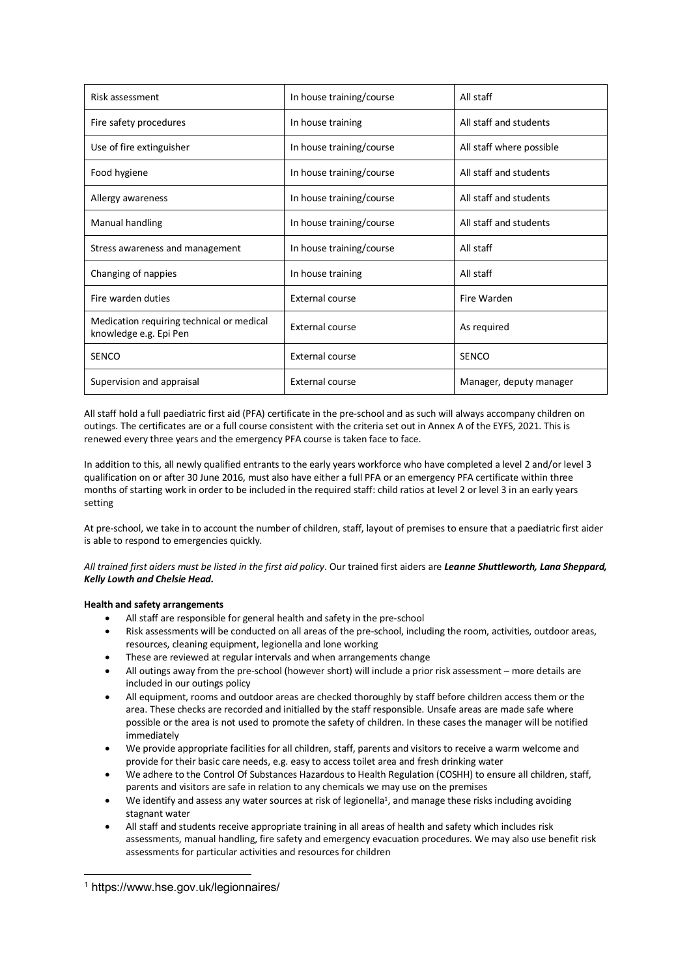| Risk assessment                                                     | In house training/course | All staff                |
|---------------------------------------------------------------------|--------------------------|--------------------------|
| Fire safety procedures                                              | In house training        | All staff and students   |
| Use of fire extinguisher                                            | In house training/course | All staff where possible |
| Food hygiene                                                        | In house training/course | All staff and students   |
| Allergy awareness                                                   | In house training/course | All staff and students   |
| Manual handling                                                     | In house training/course | All staff and students   |
| Stress awareness and management                                     | In house training/course | All staff                |
| Changing of nappies                                                 | In house training        | All staff                |
| Fire warden duties                                                  | <b>External course</b>   | Fire Warden              |
| Medication requiring technical or medical<br>knowledge e.g. Epi Pen | External course          | As required              |
| <b>SENCO</b>                                                        | External course          | SENCO                    |
| Supervision and appraisal                                           | External course          | Manager, deputy manager  |

All staff hold a full paediatric first aid (PFA) certificate in the pre-school and as such will always accompany children on outings. The certificates are or a full course consistent with the criteria set out in Annex A of the EYFS, 2021. This is renewed every three years and the emergency PFA course is taken face to face.

In addition to this, all newly qualified entrants to the early years workforce who have completed a level 2 and/or level 3 qualification on or after 30 June 2016, must also have either a full PFA or an emergency PFA certificate within three months of starting work in order to be included in the required staff: child ratios at level 2 or level 3 in an early years setting

At pre-school, we take in to account the number of children, staff, layout of premises to ensure that a paediatric first aider is able to respond to emergencies quickly.

*All trained first aiders must be listed in the first aid policy*. Our trained first aiders are *Leanne Shuttleworth, Lana Sheppard, Kelly Lowth and Chelsie Head.*

## **Health and safety arrangements**

- All staff are responsible for general health and safety in the pre-school
- Risk assessments will be conducted on all areas of the pre-school, including the room, activities, outdoor areas, resources, cleaning equipment, legionella and lone working
- These are reviewed at regular intervals and when arrangements change
- All outings away from the pre-school (however short) will include a prior risk assessment more details are included in our outings policy
- All equipment, rooms and outdoor areas are checked thoroughly by staff before children access them or the area. These checks are recorded and initialled by the staff responsible. Unsafe areas are made safe where possible or the area is not used to promote the safety of children. In these cases the manager will be notified immediately
- We provide appropriate facilities for all children, staff, parents and visitors to receive a warm welcome and provide for their basic care needs, e.g. easy to access toilet area and fresh drinking water
- We adhere to the Control Of Substances Hazardous to Health Regulation (COSHH) to ensure all children, staff, parents and visitors are safe in relation to any chemicals we may use on the premises
- We identify and assess any water sources at risk of legionella<sup>1</sup>, and manage these risks including avoiding stagnant water
- All staff and students receive appropriate training in all areas of health and safety which includes risk assessments, manual handling, fire safety and emergency evacuation procedures. We may also use benefit risk assessments for particular activities and resources for children

 <sup>1</sup> https://www.hse.gov.uk/legionnaires/